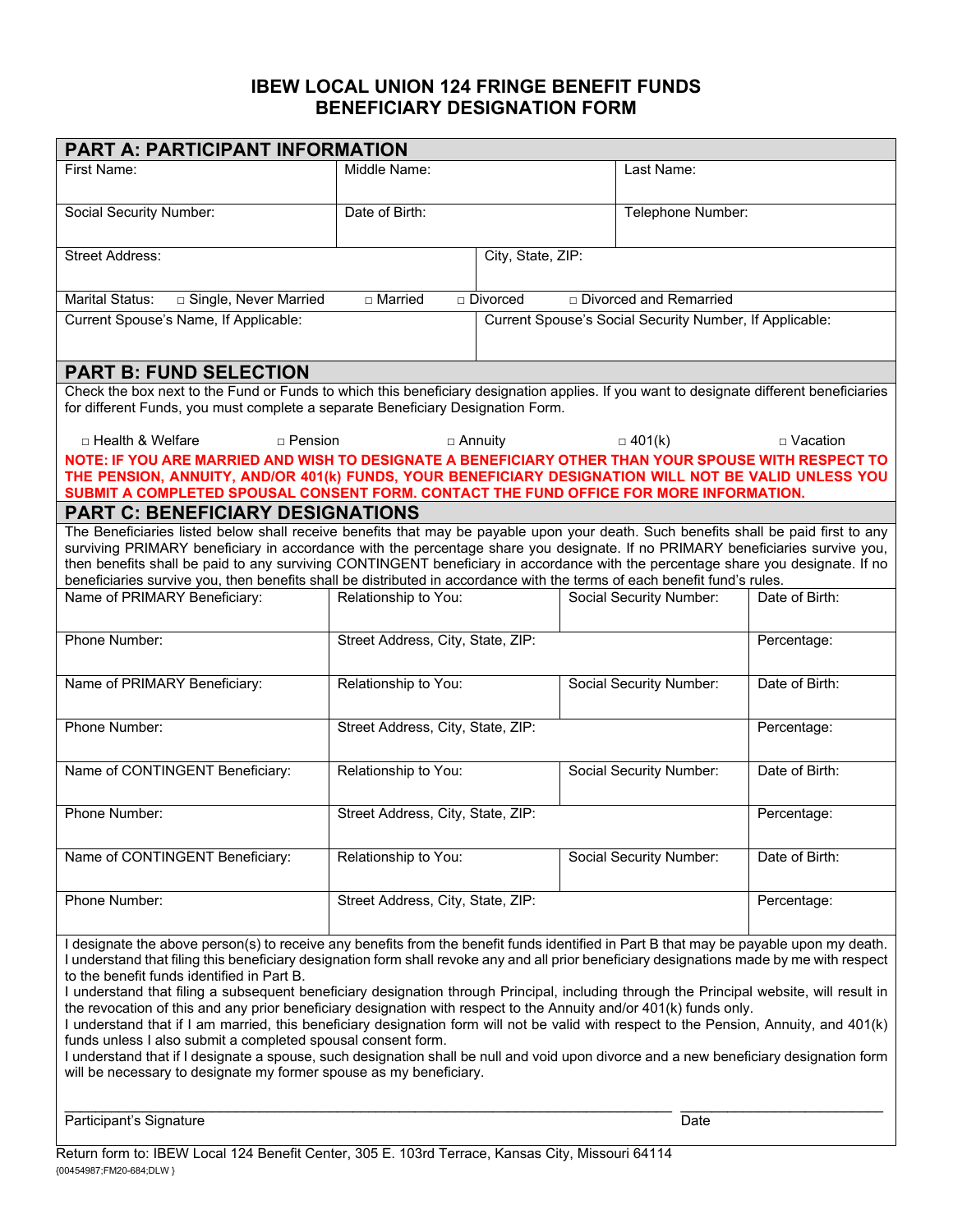## **IBEW LOCAL UNION 124 FRINGE BENEFIT FUNDS BENEFICIARY DESIGNATION FORM**

| <b>PART A: PARTICIPANT INFORMATION</b>                                                                                                                                                                                                                                                                                                                                                                                                                                                                                                                                                               |                                   |                                                         |             |                         |                |  |
|------------------------------------------------------------------------------------------------------------------------------------------------------------------------------------------------------------------------------------------------------------------------------------------------------------------------------------------------------------------------------------------------------------------------------------------------------------------------------------------------------------------------------------------------------------------------------------------------------|-----------------------------------|---------------------------------------------------------|-------------|-------------------------|----------------|--|
| First Name:                                                                                                                                                                                                                                                                                                                                                                                                                                                                                                                                                                                          | Middle Name:                      |                                                         |             | Last Name:              |                |  |
| Social Security Number:                                                                                                                                                                                                                                                                                                                                                                                                                                                                                                                                                                              | Date of Birth:                    |                                                         |             | Telephone Number:       |                |  |
| <b>Street Address:</b>                                                                                                                                                                                                                                                                                                                                                                                                                                                                                                                                                                               |                                   | City, State, ZIP:                                       |             |                         |                |  |
| <b>Marital Status:</b><br>□ Single, Never Married<br>□ Married<br>□ Divorced and Remarried<br>$\Box$ Divorced                                                                                                                                                                                                                                                                                                                                                                                                                                                                                        |                                   |                                                         |             |                         |                |  |
| Current Spouse's Name, If Applicable:                                                                                                                                                                                                                                                                                                                                                                                                                                                                                                                                                                |                                   | Current Spouse's Social Security Number, If Applicable: |             |                         |                |  |
| <b>PART B: FUND SELECTION</b>                                                                                                                                                                                                                                                                                                                                                                                                                                                                                                                                                                        |                                   |                                                         |             |                         |                |  |
| Check the box next to the Fund or Funds to which this beneficiary designation applies. If you want to designate different beneficiaries<br>for different Funds, you must complete a separate Beneficiary Designation Form.                                                                                                                                                                                                                                                                                                                                                                           |                                   |                                                         |             |                         |                |  |
| □ Health & Welfare<br>$\Box$ Pension                                                                                                                                                                                                                                                                                                                                                                                                                                                                                                                                                                 |                                   | $\Box$ Annuity                                          |             | $\Box$ 401(k)           | □ Vacation     |  |
| NOTE: IF YOU ARE MARRIED AND WISH TO DESIGNATE A BENEFICIARY OTHER THAN YOUR SPOUSE WITH RESPECT TO<br>THE PENSION, ANNUITY, AND/OR 401(k) FUNDS, YOUR BENEFICIARY DESIGNATION WILL NOT BE VALID UNLESS YOU<br>SUBMIT A COMPLETED SPOUSAL CONSENT FORM. CONTACT THE FUND OFFICE FOR MORE INFORMATION.                                                                                                                                                                                                                                                                                                |                                   |                                                         |             |                         |                |  |
| <b>PART C: BENEFICIARY DESIGNATIONS</b>                                                                                                                                                                                                                                                                                                                                                                                                                                                                                                                                                              |                                   |                                                         |             |                         |                |  |
| The Beneficiaries listed below shall receive benefits that may be payable upon your death. Such benefits shall be paid first to any<br>surviving PRIMARY beneficiary in accordance with the percentage share you designate. If no PRIMARY beneficiaries survive you,<br>then benefits shall be paid to any surviving CONTINGENT beneficiary in accordance with the percentage share you designate. If no<br>beneficiaries survive you, then benefits shall be distributed in accordance with the terms of each benefit fund's rules.                                                                 |                                   |                                                         |             |                         |                |  |
| Name of PRIMARY Beneficiary:                                                                                                                                                                                                                                                                                                                                                                                                                                                                                                                                                                         | Relationship to You:              |                                                         |             | Social Security Number: | Date of Birth: |  |
| Phone Number:                                                                                                                                                                                                                                                                                                                                                                                                                                                                                                                                                                                        | Street Address, City, State, ZIP: |                                                         | Percentage: |                         |                |  |
| Name of PRIMARY Beneficiary:                                                                                                                                                                                                                                                                                                                                                                                                                                                                                                                                                                         | Relationship to You:              |                                                         |             | Social Security Number: | Date of Birth: |  |
| Phone Number:                                                                                                                                                                                                                                                                                                                                                                                                                                                                                                                                                                                        | Street Address, City, State, ZIP: |                                                         | Percentage: |                         |                |  |
| Name of CONTINGENT Beneficiary:                                                                                                                                                                                                                                                                                                                                                                                                                                                                                                                                                                      | Relationship to You:              |                                                         |             | Social Security Number: | Date of Birth: |  |
| Phone Number:                                                                                                                                                                                                                                                                                                                                                                                                                                                                                                                                                                                        | Street Address, City, State, ZIP: |                                                         | Percentage: |                         |                |  |
| Name of CONTINGENT Beneficiary:                                                                                                                                                                                                                                                                                                                                                                                                                                                                                                                                                                      | Relationship to You:              |                                                         |             | Social Security Number: | Date of Birth: |  |
| Phone Number:                                                                                                                                                                                                                                                                                                                                                                                                                                                                                                                                                                                        | Street Address, City, State, ZIP: |                                                         |             |                         | Percentage:    |  |
| I designate the above person(s) to receive any benefits from the benefit funds identified in Part B that may be payable upon my death.<br>I understand that filing this beneficiary designation form shall revoke any and all prior beneficiary designations made by me with respect<br>to the benefit funds identified in Part B.<br>I understand that filing a subsequent beneficiary designation through Principal, including through the Principal website, will result in<br>the revocation of this and any prior beneficiary designation with respect to the Annuity and/or 401(k) funds only. |                                   |                                                         |             |                         |                |  |

I understand that if I am married, this beneficiary designation form will not be valid with respect to the Pension, Annuity, and 401(k) funds unless I also submit a completed spousal consent form.

I understand that if I designate a spouse, such designation shall be null and void upon divorce and a new beneficiary designation form will be necessary to designate my former spouse as my beneficiary.

Participant's Signature Date Date Date Date Date Date

 $\_$  ,  $\_$  ,  $\_$  ,  $\_$  ,  $\_$  ,  $\_$  ,  $\_$  ,  $\_$  ,  $\_$  ,  $\_$  ,  $\_$  ,  $\_$  ,  $\_$  ,  $\_$  ,  $\_$  ,  $\_$  ,  $\_$  ,  $\_$  ,  $\_$  ,  $\_$  ,  $\_$  ,  $\_$  ,  $\_$  ,  $\_$  ,  $\_$  ,  $\_$  ,  $\_$  ,  $\_$  ,  $\_$  ,  $\_$  ,  $\_$  ,  $\_$  ,  $\_$  ,  $\_$  ,  $\_$  ,  $\_$  ,  $\_$  ,